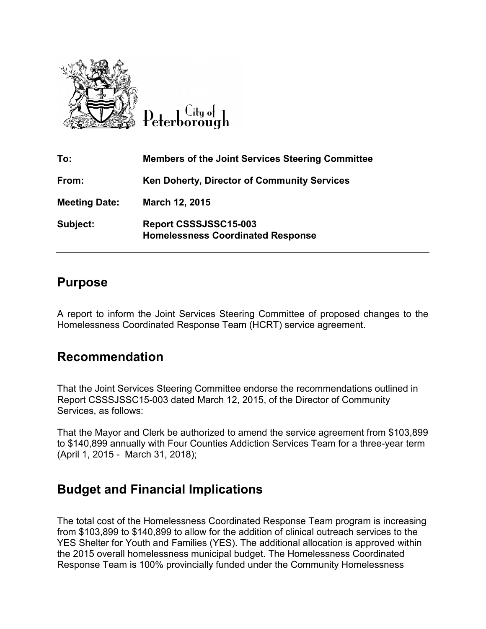

Lity of

| To:                  | <b>Members of the Joint Services Steering Committee</b>           |
|----------------------|-------------------------------------------------------------------|
| From:                | <b>Ken Doherty, Director of Community Services</b>                |
| <b>Meeting Date:</b> | March 12, 2015                                                    |
| Subject:             | Report CSSSJSSC15-003<br><b>Homelessness Coordinated Response</b> |

### **Purpose**

A report to inform the Joint Services Steering Committee of proposed changes to the Homelessness Coordinated Response Team (HCRT) service agreement.

## **Recommendation**

That the Joint Services Steering Committee endorse the recommendations outlined in Report CSSSJSSC15-003 dated March 12, 2015, of the Director of Community Services, as follows:

That the Mayor and Clerk be authorized to amend the service agreement from \$103,899 to \$140,899 annually with Four Counties Addiction Services Team for a three-year term (April 1, 2015 - March 31, 2018);

## **Budget and Financial Implications**

The total cost of the Homelessness Coordinated Response Team program is increasing from \$103,899 to \$140,899 to allow for the addition of clinical outreach services to the YES Shelter for Youth and Families (YES). The additional allocation is approved within the 2015 overall homelessness municipal budget. The Homelessness Coordinated Response Team is 100% provincially funded under the Community Homelessness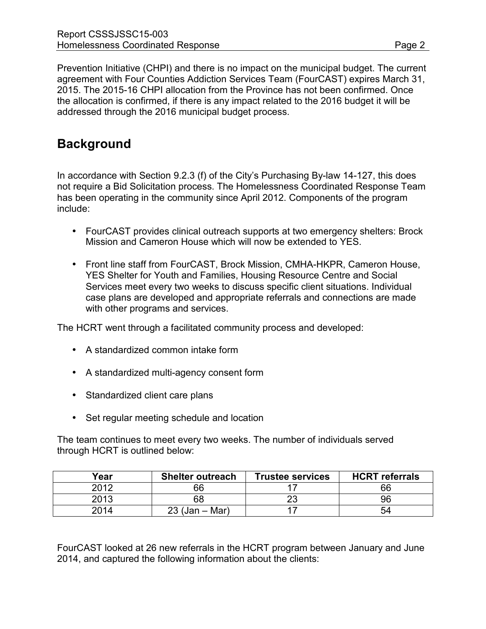Prevention Initiative (CHPI) and there is no impact on the municipal budget. The current agreement with Four Counties Addiction Services Team (FourCAST) expires March 31, 2015. The 2015-16 CHPI allocation from the Province has not been confirmed. Once the allocation is confirmed, if there is any impact related to the 2016 budget it will be addressed through the 2016 municipal budget process.

# **Background**

In accordance with Section 9.2.3 (f) of the City's Purchasing By-law 14-127, this does not require a Bid Solicitation process. The Homelessness Coordinated Response Team has been operating in the community since April 2012. Components of the program include:

- FourCAST provides clinical outreach supports at two emergency shelters: Brock Mission and Cameron House which will now be extended to YES.
- Front line staff from FourCAST, Brock Mission, CMHA-HKPR, Cameron House, YES Shelter for Youth and Families, Housing Resource Centre and Social Services meet every two weeks to discuss specific client situations. Individual case plans are developed and appropriate referrals and connections are made with other programs and services.

The HCRT went through a facilitated community process and developed:

- A standardized common intake form
- A standardized multi-agency consent form
- Standardized client care plans
- Set regular meeting schedule and location

The team continues to meet every two weeks. The number of individuals served through HCRT is outlined below:

| Year | <b>Shelter outreach</b>   | <b>Trustee services</b> | <b>HCRT</b> referrals |
|------|---------------------------|-------------------------|-----------------------|
| 2012 | 66                        |                         | 66                    |
| 2013 | 68                        |                         | 96                    |
| 2014 | . – Mar`<br>$23$ (Jan $-$ |                         | 54                    |

FourCAST looked at 26 new referrals in the HCRT program between January and June 2014, and captured the following information about the clients: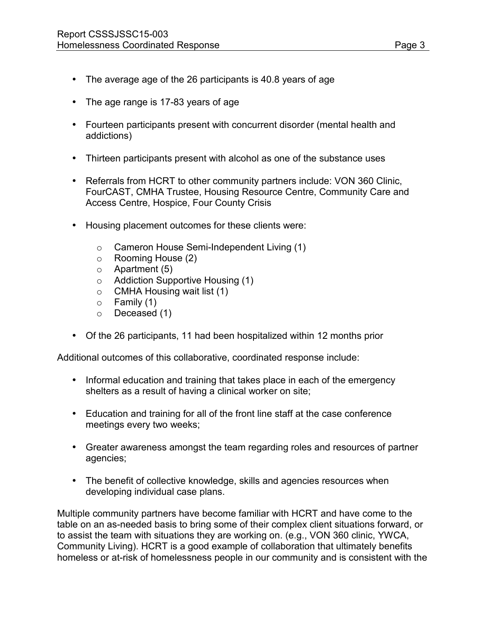- The average age of the 26 participants is 40.8 years of age
- The age range is 17-83 years of age
- Fourteen participants present with concurrent disorder (mental health and addictions)
- Thirteen participants present with alcohol as one of the substance uses
- Referrals from HCRT to other community partners include: VON 360 Clinic, FourCAST, CMHA Trustee, Housing Resource Centre, Community Care and Access Centre, Hospice, Four County Crisis
- Housing placement outcomes for these clients were:
	- o Cameron House Semi-Independent Living (1)
	- o Rooming House (2)
	- o Apartment (5)
	- o Addiction Supportive Housing (1)
	- o CMHA Housing wait list (1)
	- $\circ$  Family (1)
	- o Deceased (1)
- Of the 26 participants, 11 had been hospitalized within 12 months prior

Additional outcomes of this collaborative, coordinated response include:

- Informal education and training that takes place in each of the emergency shelters as a result of having a clinical worker on site;
- Education and training for all of the front line staff at the case conference meetings every two weeks;
- Greater awareness amongst the team regarding roles and resources of partner agencies;
- The benefit of collective knowledge, skills and agencies resources when developing individual case plans.

Multiple community partners have become familiar with HCRT and have come to the table on an as-needed basis to bring some of their complex client situations forward, or to assist the team with situations they are working on. (e.g., VON 360 clinic, YWCA, Community Living). HCRT is a good example of collaboration that ultimately benefits homeless or at-risk of homelessness people in our community and is consistent with the